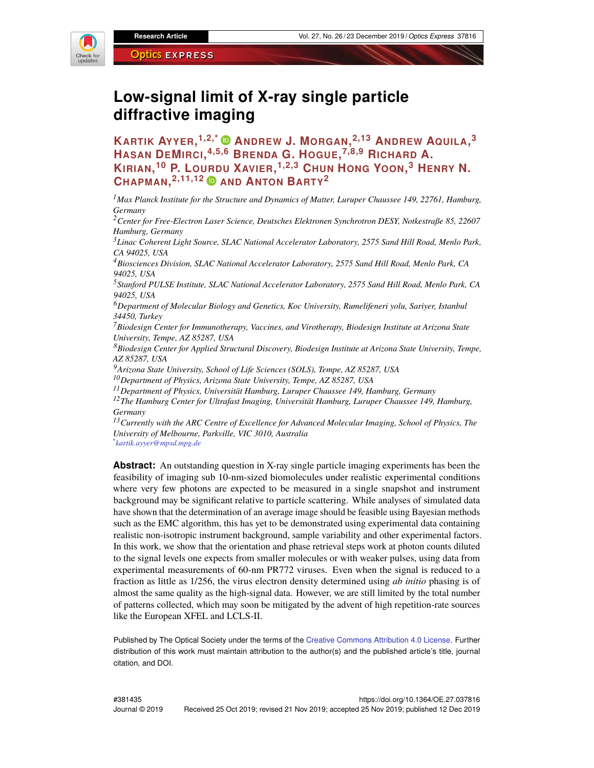

# **Low-signal limit of X-ray single particle diffractive imaging**

**KARTIK AYYER, 1,2,\* ANDREW J. MORGAN, 2,13 ANDREW AQUILA, 3 HASAN DEMIRCI, 4,[5,6](https://orcid.org/0000-0002-6881-564X) BRENDA G. HOGUE, 7,8,9 RICHARD A. KIRIAN, <sup>10</sup> P. LOURDU XAVIER, 1,2,3 CHUN HONG YOON, <sup>3</sup> HENRY N. CHAPMAN, 2,11,12 AND ANTON BARTY<sup>2</sup>**

*<sup>1</sup>Max Planck Institute for the Structure and Dynamics of Matter, Luruper Chaussee 149, 22761, Hamburg, Germany*

*<sup>2</sup>Center for Free-Electron Laser Science, Deutsches Elektronen Synchrotron DESY, Notkestraße 85, 22607 Hamburg, Germany*

*<sup>3</sup>Linac Coherent Light Source, SLAC National Accelerator Laboratory, 2575 Sand Hill Road, Menlo Park, CA 94025, USA*

*<sup>4</sup>Biosciences Division, SLAC National Accelerator Laboratory, 2575 Sand Hill Road, Menlo Park, CA 94025, USA*

*<sup>5</sup>Stanford PULSE Institute, SLAC National Accelerator Laboratory, 2575 Sand Hill Road, Menlo Park, CA 94025, USA*

*<sup>6</sup>Department of Molecular Biology and Genetics, Koc University, Rumelifeneri yolu, Sariyer, Istanbul 34450, Turkey*

*<sup>7</sup>Biodesign Center for Immunotherapy, Vaccines, and Virotherapy, Biodesign Institute at Arizona State University, Tempe, AZ 85287, USA*

*<sup>8</sup>Biodesign Center for Applied Structural Discovery, Biodesign Institute at Arizona State University, Tempe, AZ 85287, USA*

*<sup>9</sup>Arizona State University, School of Life Sciences (SOLS), Tempe, AZ 85287, USA*

*<sup>10</sup>Department of Physics, Arizona State University, Tempe, AZ 85287, USA*

*<sup>11</sup>Department of Physics, Universität Hamburg, Luruper Chaussee 149, Hamburg, Germany*

*<sup>12</sup>The Hamburg Center for Ultrafast Imaging, Universität Hamburg, Luruper Chaussee 149, Hamburg, Germany*

*<sup>13</sup>Currently with the ARC Centre of Excellence for Advanced Molecular Imaging, School of Physics, The University of Melbourne, Parkville, VIC 3010, Australia*

*\* kartik.ayyer@mpsd.mpg.de*

**Abstract:** An outstanding question in X-ray single particle imaging experiments has been the feasibility of imaging sub 10-nm-sized biomolecules under realistic experimental conditions where very few photons are expected to be measured in a single snapshot and instrument background may be significant relative to particle scattering. While analyses of simulated data have shown that the determination of an average image should be feasible using Bayesian methods such as the EMC algorithm, this has yet to be demonstrated using experimental data containing realistic non-isotropic instrument background, sample variability and other experimental factors. In this work, we show that the orientation and phase retrieval steps work at photon counts diluted to the signal levels one expects from smaller molecules or with weaker pulses, using data from experimental measurements of 60-nm PR772 viruses. Even when the signal is reduced to a fraction as little as 1/256, the virus electron density determined using *ab initio* phasing is of almost the same quality as the high-signal data. However, we are still limited by the total number of patterns collected, which may soon be mitigated by the advent of high repetition-rate sources like the European XFEL and LCLS-II.

Published by The Optical Society under the terms of the [Creative Commons Attribution 4.0 License.](http://creativecommons.org/licenses/by/4.0/) Further distribution of this work must maintain attribution to the author(s) and the published article's title, journal citation, and DOI.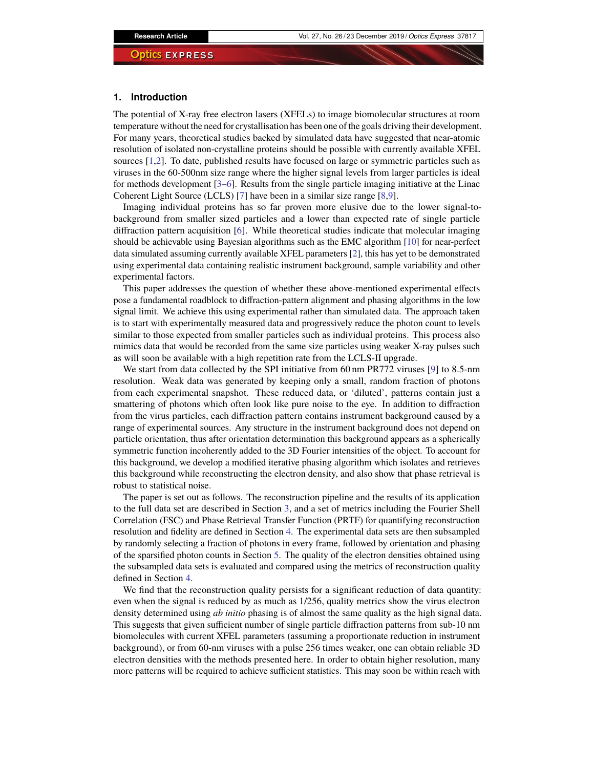#### **1. Introduction**

The potential of X-ray free electron lasers (XFELs) to image biomolecular structures at room temperature without the need for crystallisation has been one of the goals driving their development. For many years, theoretical studies backed by simulated data have suggested that near-atomic resolution of isolated non-crystalline proteins should be possible with currently available XFEL sources [\[1](#page-16-0)[,2\]](#page-16-1). To date, published results have focused on large or symmetric particles such as viruses in the 60-500nm size range where the higher signal levels from larger particles is ideal for methods development [\[3–](#page-16-2)[6\]](#page-16-3). Results from the single particle imaging initiative at the Linac Coherent Light Source (LCLS) [\[7\]](#page-16-4) have been in a similar size range [\[8](#page-16-5)[,9\]](#page-16-6).

Imaging individual proteins has so far proven more elusive due to the lower signal-tobackground from smaller sized particles and a lower than expected rate of single particle diffraction pattern acquisition [\[6\]](#page-16-3). While theoretical studies indicate that molecular imaging should be achievable using Bayesian algorithms such as the EMC algorithm [\[10\]](#page-16-7) for near-perfect data simulated assuming currently available XFEL parameters [\[2\]](#page-16-1), this has yet to be demonstrated using experimental data containing realistic instrument background, sample variability and other experimental factors.

This paper addresses the question of whether these above-mentioned experimental effects pose a fundamental roadblock to diffraction-pattern alignment and phasing algorithms in the low signal limit. We achieve this using experimental rather than simulated data. The approach taken is to start with experimentally measured data and progressively reduce the photon count to levels similar to those expected from smaller particles such as individual proteins. This process also mimics data that would be recorded from the same size particles using weaker X-ray pulses such as will soon be available with a high repetition rate from the LCLS-II upgrade.

We start from data collected by the SPI initiative from 60 nm PR772 viruses [\[9\]](#page-16-6) to 8.5-nm resolution. Weak data was generated by keeping only a small, random fraction of photons from each experimental snapshot. These reduced data, or 'diluted', patterns contain just a smattering of photons which often look like pure noise to the eye. In addition to diffraction from the virus particles, each diffraction pattern contains instrument background caused by a range of experimental sources. Any structure in the instrument background does not depend on particle orientation, thus after orientation determination this background appears as a spherically symmetric function incoherently added to the 3D Fourier intensities of the object. To account for this background, we develop a modified iterative phasing algorithm which isolates and retrieves this background while reconstructing the electron density, and also show that phase retrieval is robust to statistical noise.

The paper is set out as follows. The reconstruction pipeline and the results of its application to the full data set are described in Section [3,](#page-2-0) and a set of metrics including the Fourier Shell Correlation (FSC) and Phase Retrieval Transfer Function (PRTF) for quantifying reconstruction resolution and fidelity are defined in Section [4.](#page-5-0) The experimental data sets are then subsampled by randomly selecting a fraction of photons in every frame, followed by orientation and phasing of the sparsified photon counts in Section [5.](#page-7-0) The quality of the electron densities obtained using the subsampled data sets is evaluated and compared using the metrics of reconstruction quality defined in Section [4.](#page-5-0)

We find that the reconstruction quality persists for a significant reduction of data quantity: even when the signal is reduced by as much as 1/256, quality metrics show the virus electron density determined using *ab initio* phasing is of almost the same quality as the high signal data. This suggests that given sufficient number of single particle diffraction patterns from sub-10 nm biomolecules with current XFEL parameters (assuming a proportionate reduction in instrument background), or from 60-nm viruses with a pulse 256 times weaker, one can obtain reliable 3D electron densities with the methods presented here. In order to obtain higher resolution, many more patterns will be required to achieve sufficient statistics. This may soon be within reach with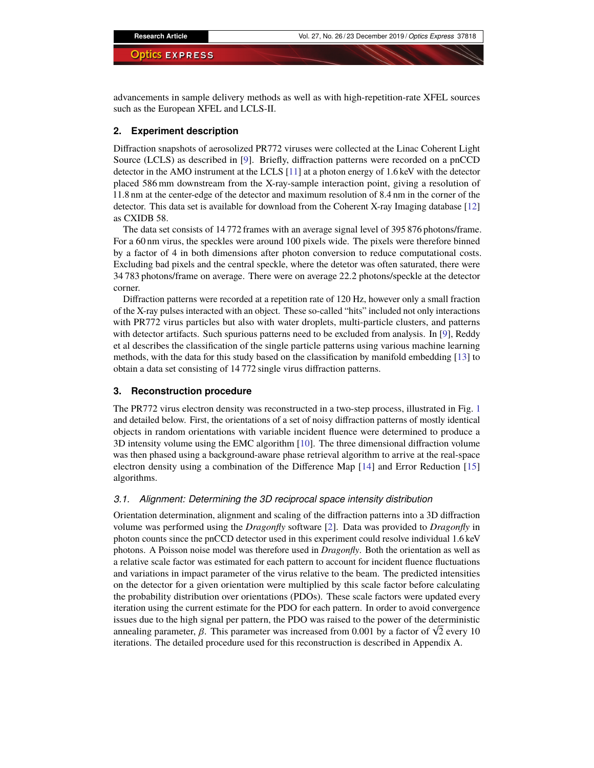advancements in sample delivery methods as well as with high-repetition-rate XFEL sources such as the European XFEL and LCLS-II.

# **2. Experiment description**

Diffraction snapshots of aerosolized PR772 viruses were collected at the Linac Coherent Light Source (LCLS) as described in [\[9\]](#page-16-6). Briefly, diffraction patterns were recorded on a pnCCD detector in the AMO instrument at the LCLS [\[11\]](#page-16-8) at a photon energy of 1.6 keV with the detector placed 586 mm downstream from the X-ray-sample interaction point, giving a resolution of 11.8 nm at the center-edge of the detector and maximum resolution of 8.4 nm in the corner of the detector. This data set is available for download from the Coherent X-ray Imaging database [\[12\]](#page-16-9) as CXIDB 58.

The data set consists of 14 772 frames with an average signal level of 395 876 photons/frame. For a 60 nm virus, the speckles were around 100 pixels wide. The pixels were therefore binned by a factor of 4 in both dimensions after photon conversion to reduce computational costs. Excluding bad pixels and the central speckle, where the detetor was often saturated, there were 34 783 photons/frame on average. There were on average 22.2 photons/speckle at the detector corner.

Diffraction patterns were recorded at a repetition rate of 120 Hz, however only a small fraction of the X-ray pulses interacted with an object. These so-called "hits" included not only interactions with PR772 virus particles but also with water droplets, multi-particle clusters, and patterns with detector artifacts. Such spurious patterns need to be excluded from analysis. In [\[9\]](#page-16-6), Reddy et al describes the classification of the single particle patterns using various machine learning methods, with the data for this study based on the classification by manifold embedding [\[13\]](#page-16-10) to obtain a data set consisting of 14 772 single virus diffraction patterns.

#### <span id="page-2-0"></span>**3. Reconstruction procedure**

The PR772 virus electron density was reconstructed in a two-step process, illustrated in Fig. [1](#page-3-0) and detailed below. First, the orientations of a set of noisy diffraction patterns of mostly identical objects in random orientations with variable incident fluence were determined to produce a 3D intensity volume using the EMC algorithm [\[10\]](#page-16-7). The three dimensional diffraction volume was then phased using a background-aware phase retrieval algorithm to arrive at the real-space electron density using a combination of the Difference Map [\[14\]](#page-16-11) and Error Reduction [\[15\]](#page-16-12) algorithms.

# *3.1. Alignment: Determining the 3D reciprocal space intensity distribution*

Orientation determination, alignment and scaling of the diffraction patterns into a 3D diffraction volume was performed using the *Dragonfly* software [\[2\]](#page-16-1). Data was provided to *Dragonfly* in photon counts since the pnCCD detector used in this experiment could resolve individual 1.6 keV photons. A Poisson noise model was therefore used in *Dragonfly*. Both the orientation as well as a relative scale factor was estimated for each pattern to account for incident fluence fluctuations and variations in impact parameter of the virus relative to the beam. The predicted intensities on the detector for a given orientation were multiplied by this scale factor before calculating the probability distribution over orientations (PDOs). These scale factors were updated every iteration using the current estimate for the PDO for each pattern. In order to avoid convergence issues due to the high signal per pattern, the PDO was raised to the power of the deterministic assues due to the high signal per pattern, the PDO was raised to the power of the deterministic<br>annealing parameter, β. This parameter was increased from 0.001 by a factor of  $\sqrt{2}$  every 10<br>iterations. The detailed pro iterations. The detailed procedure used for this reconstruction is described in Appendix A.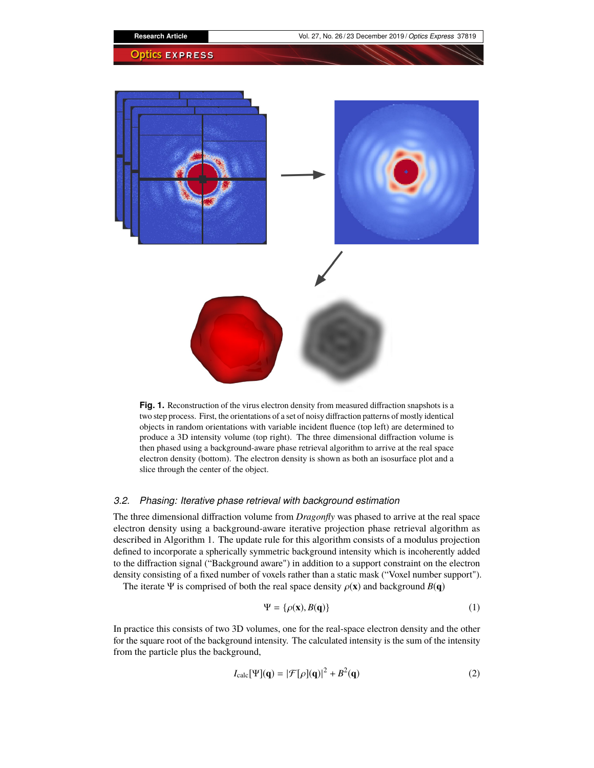

<span id="page-3-0"></span>**Fig. 1.** Reconstruction of the virus electron density from measured diffraction snapshots is a two step process. First, the orientations of a set of noisy diffraction patterns of mostly identical objects in random orientations with variable incident fluence (top left) are determined to produce a 3D intensity volume (top right). The three dimensional diffraction volume is then phased using a background-aware phase retrieval algorithm to arrive at the real space electron density (bottom). The electron density is shown as both an isosurface plot and a slice through the center of the object.

# <span id="page-3-1"></span>*3.2. Phasing: Iterative phase retrieval with background estimation*

The three dimensional diffraction volume from *Dragonfly* was phased to arrive at the real space electron density using a background-aware iterative projection phase retrieval algorithm as described in Algorithm 1. The update rule for this algorithm consists of a modulus projection defined to incorporate a spherically symmetric background intensity which is incoherently added to the diffraction signal ("Background aware") in addition to a support constraint on the electron density consisting of a fixed number of voxels rather than a static mask ("Voxel number support").

The iterate Ψ is comprised of both the real space density  $\rho(\mathbf{x})$  and background  $B(\mathbf{q})$ 

$$
\Psi = \{\rho(\mathbf{x}), B(\mathbf{q})\}\tag{1}
$$

In practice this consists of two 3D volumes, one for the real-space electron density and the other for the square root of the background intensity. The calculated intensity is the sum of the intensity from the particle plus the background,

$$
I_{\text{calc}}[\Psi](\mathbf{q}) = |\mathcal{F}[\rho](\mathbf{q})|^2 + B^2(\mathbf{q})
$$
\n(2)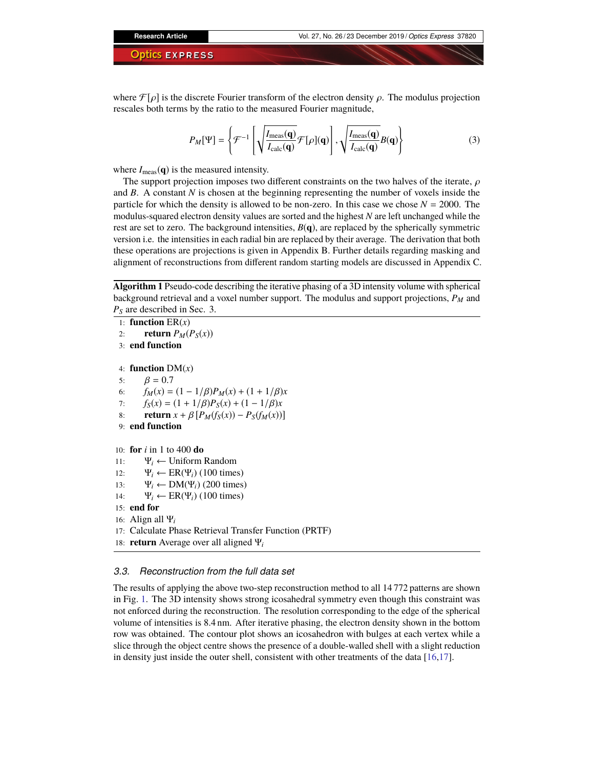where  $\mathcal{F}[\rho]$  is the discrete Fourier transform of the electron density  $\rho$ . The modulus projection rescales both terms by the ratio to the measured Fourier magnitude,

$$
P_M[\Psi] = \left\{ \mathcal{F}^{-1} \left[ \sqrt{\frac{I_{\text{meas}}(\mathbf{q})}{I_{\text{calc}}(\mathbf{q})}} \mathcal{F}[\rho](\mathbf{q}) \right], \sqrt{\frac{I_{\text{meas}}(\mathbf{q})}{I_{\text{calc}}(\mathbf{q})}} B(\mathbf{q}) \right\}
$$
(3)

where  $I_{\text{meas}}(\mathbf{q})$  is the measured intensity.

The support projection imposes two different constraints on the two halves of the iterate,  $\rho$ and *B*. A constant *N* is chosen at the beginning representing the number of voxels inside the particle for which the density is allowed to be non-zero. In this case we chose  $N = 2000$ . The modulus-squared electron density values are sorted and the highest *N* are left unchanged while the rest are set to zero. The background intensities,  $B(\mathbf{q})$ , are replaced by the spherically symmetric version i.e. the intensities in each radial bin are replaced by their average. The derivation that both these operations are projections is given in Appendix B. Further details regarding masking and alignment of reconstructions from different random starting models are discussed in Appendix C.

**Algorithm 1** Pseudo-code describing the iterative phasing of a 3D intensity volume with spherical background retrieval and a voxel number support. The modulus and support projections, *P<sup>M</sup>* and *P<sup>S</sup>* are described in Sec. 3.

```
1: function ER(x)2: return P_M(P_S(x))3: end function
 4: function DM(x)
 5: β = 0.7<br>6: f_M(x) =6: f_M(x) = (1 - 1/\beta)P_M(x) + (1 + 1/\beta)x<br>7: f_S(x) = (1 + 1/\beta)P_S(x) + (1 - 1/\beta)x7: f_S(x) = (1 + 1/\beta)P_S(x) + (1 - 1/\beta)x<br>8: return x + \beta [P_M(f_S(x)) - P_S(f_M(x))]
 9: end function
10: for i in 1 to 400 do
11: Ψi ← Uniform Random
12: \Psi_i \leftarrow ER(\Psi_i) (100 times)
13: \Psi_i \leftarrow DM(\Psi_i) (200 times)
14: \Psi_i \leftarrow ER(\Psi_i) (100 times)
15: end for
16: Align all Ψi
17: Calculate Phase Retrieval Transfer Function (PRTF)
18: return Average over all aligned Ψi
```
# *3.3. Reconstruction from the full data set*

The results of applying the above two-step reconstruction method to all 14 772 patterns are shown in Fig. [1.](#page-3-0) The 3D intensity shows strong icosahedral symmetry even though this constraint was not enforced during the reconstruction. The resolution corresponding to the edge of the spherical volume of intensities is 8.4 nm. After iterative phasing, the electron density shown in the bottom row was obtained. The contour plot shows an icosahedron with bulges at each vertex while a slice through the object centre shows the presence of a double-walled shell with a slight reduction in density just inside the outer shell, consistent with other treatments of the data [\[16,](#page-16-13)[17\]](#page-16-14).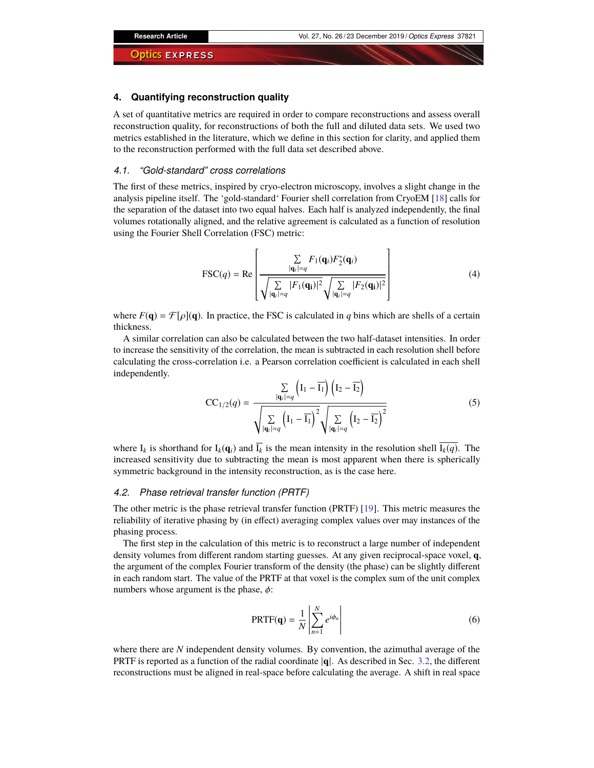#### <span id="page-5-0"></span>**4. Quantifying reconstruction quality**

A set of quantitative metrics are required in order to compare reconstructions and assess overall reconstruction quality, for reconstructions of both the full and diluted data sets. We used two metrics established in the literature, which we define in this section for clarity, and applied them to the reconstruction performed with the full data set described above.

#### *4.1. "Gold-standard" cross correlations*

The first of these metrics, inspired by cryo-electron microscopy, involves a slight change in the analysis pipeline itself. The 'gold-standard' Fourier shell correlation from CryoEM [\[18\]](#page-17-0) calls for the separation of the dataset into two equal halves. Each half is analyzed independently, the final volumes rotationally aligned, and the relative agreement is calculated as a function of resolution using the Fourier Shell Correlation (FSC) metric:

$$
\text{FSC}(q) = \text{Re}\left[\frac{\sum\limits_{|\mathbf{q}_i|=q} F_1(\mathbf{q}_i) F_2^*(\mathbf{q}_i)}{\sqrt{\sum\limits_{|\mathbf{q}_i|=q} |F_1(\mathbf{q_i})|^2} \sqrt{\sum\limits_{|\mathbf{q}_i|=q} |F_2(\mathbf{q}_i)|^2}}\right]
$$
(4)

where  $F(\mathbf{q}) = \mathcal{F}[\rho](\mathbf{q})$ . In practice, the FSC is calculated in *q* bins which are shells of a certain thickness.

A similar correlation can also be calculated between the two half-dataset intensities. In order to increase the sensitivity of the correlation, the mean is subtracted in each resolution shell before calculating the cross-correlation i.e. a Pearson correlation coefficient is calculated in each shell independently.

$$
CC_{1/2}(q) = \frac{\sum\limits_{|\mathbf{q}_i|=q} \left( \mathbf{I}_1 - \overline{\mathbf{I}_1} \right) \left( \mathbf{I}_2 - \overline{\mathbf{I}_2} \right)}{\sqrt{\sum\limits_{|\mathbf{q}_i|=q} \left( \mathbf{I}_1 - \overline{\mathbf{I}_1} \right)^2} \sqrt{\sum\limits_{|\mathbf{q}_i|=q} \left( \mathbf{I}_2 - \overline{\mathbf{I}_2} \right)^2}}
$$
(5)

where  $I_k$  is shorthand for  $I_k(q_i)$  and  $\overline{I_k}$  is the mean intensity in the resolution shell  $\overline{I_k(q)}$ . The increased sensitivity due to subtracting the mean is most apparent when there is spherically symmetric background in the intensity reconstruction, as is the case here.

#### *4.2. Phase retrieval transfer function (PRTF)*

The other metric is the phase retrieval transfer function (PRTF) [\[19\]](#page-17-1). This metric measures the reliability of iterative phasing by (in effect) averaging complex values over may instances of the phasing process.

The first step in the calculation of this metric is to reconstruct a large number of independent density volumes from different random starting guesses. At any given reciprocal-space voxel, **q**, the argument of the complex Fourier transform of the density (the phase) can be slightly different in each random start. The value of the PRTF at that voxel is the complex sum of the unit complex numbers whose argument is the phase,  $\phi$ :

$$
PRTF(\mathbf{q}) = \frac{1}{N} \left| \sum_{n=1}^{N} e^{i\phi_n} \right| \tag{6}
$$

where there are *N* independent density volumes. By convention, the azimuthal average of the PRTF is reported as a function of the radial coordinate |**q**|. As described in Sec. [3.2,](#page-3-1) the different reconstructions must be aligned in real-space before calculating the average. A shift in real space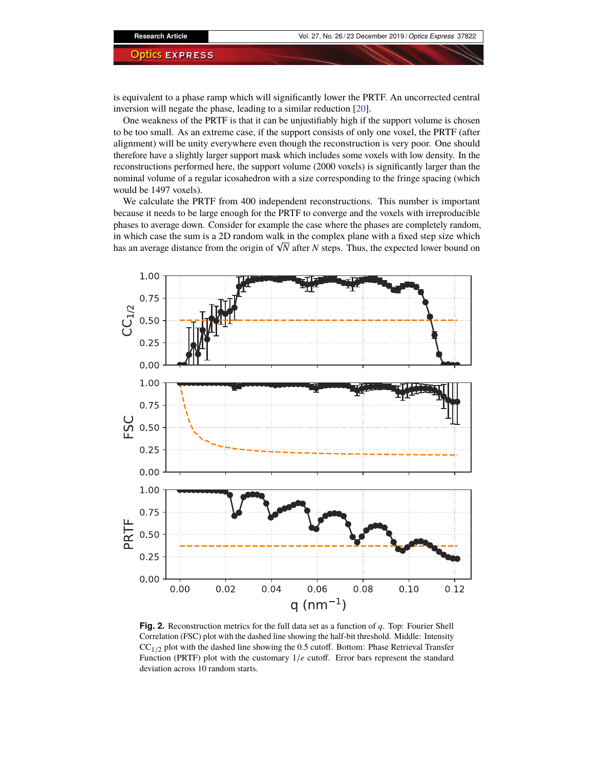is equivalent to a phase ramp which will significantly lower the PRTF. An uncorrected central inversion will negate the phase, leading to a similar reduction [\[20\]](#page-17-2).

One weakness of the PRTF is that it can be unjustifiably high if the support volume is chosen to be too small. As an extreme case, if the support consists of only one voxel, the PRTF (after alignment) will be unity everywhere even though the reconstruction is very poor. One should therefore have a slightly larger support mask which includes some voxels with low density. In the reconstructions performed here, the support volume (2000 voxels) is significantly larger than the nominal volume of a regular icosahedron with a size corresponding to the fringe spacing (which would be 1497 voxels).

We calculate the PRTF from 400 independent reconstructions. This number is important because it needs to be large enough for the PRTF to converge and the voxels with irreproducible phases to average down. Consider for example the case where the phases are completely random, in which case the sum is a 2D random walk in the complex plane with a fixed step size which in which case the sum is a 2D random walk in the complex plane with a fixed step size which<br>has an average distance from the origin of √*N* after *N* steps. Thus, the expected lower bound on



<span id="page-6-0"></span>**Fig. 2.** Reconstruction metrics for the full data set as a function of *q*. Top: Fourier Shell Correlation (FSC) plot with the dashed line showing the half-bit threshold. Middle: Intensity  $CC<sub>1/2</sub>$  plot with the dashed line showing the 0.5 cutoff. Bottom: Phase Retrieval Transfer Function (PRTF) plot with the customary 1/*e* cutoff. Error bars represent the standard deviation across 10 random starts.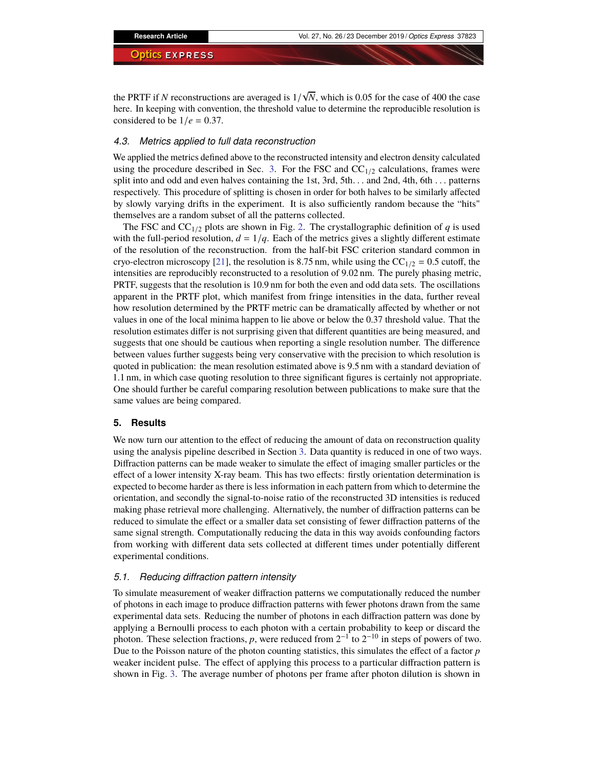the PRTF if *N* reconstructions are averaged is  $1/\sqrt{N}$ , which is 0.05 for the case of 400 the case here. In keeping with convention, the threshold value to determine the reproducible resolution is considered to be  $1/e = 0.37$ .

# <span id="page-7-1"></span>*4.3. Metrics applied to full data reconstruction*

We applied the metrics defined above to the reconstructed intensity and electron density calculated using the procedure described in Sec. [3.](#page-2-0) For the FSC and  $CC_{1/2}$  calculations, frames were split into and odd and even halves containing the 1st, 3rd, 5th. . . and 2nd, 4th, 6th . . . patterns respectively. This procedure of splitting is chosen in order for both halves to be similarly affected by slowly varying drifts in the experiment. It is also sufficiently random because the "hits" themselves are a random subset of all the patterns collected.

The FSC and  $CC_{1/2}$  plots are shown in Fig. [2.](#page-6-0) The crystallographic definition of *q* is used with the full-period resolution,  $d = 1/q$ . Each of the metrics gives a slightly different estimate of the resolution of the reconstruction. from the half-bit FSC criterion standard common in cryo-electron microscopy [\[21\]](#page-17-3), the resolution is 8.75 nm, while using the  $CC_{1/2} = 0.5$  cutoff, the intensities are reproducibly reconstructed to a resolution of 9.02 nm. The purely phasing metric, PRTF, suggests that the resolution is 10.9 nm for both the even and odd data sets. The oscillations apparent in the PRTF plot, which manifest from fringe intensities in the data, further reveal how resolution determined by the PRTF metric can be dramatically affected by whether or not values in one of the local minima happen to lie above or below the 0.37 threshold value. That the resolution estimates differ is not surprising given that different quantities are being measured, and suggests that one should be cautious when reporting a single resolution number. The difference between values further suggests being very conservative with the precision to which resolution is quoted in publication: the mean resolution estimated above is 9.5 nm with a standard deviation of 1.1 nm, in which case quoting resolution to three significant figures is certainly not appropriate. One should further be careful comparing resolution between publications to make sure that the same values are being compared.

### <span id="page-7-0"></span>**5. Results**

We now turn our attention to the effect of reducing the amount of data on reconstruction quality using the analysis pipeline described in Section [3.](#page-2-0) Data quantity is reduced in one of two ways. Diffraction patterns can be made weaker to simulate the effect of imaging smaller particles or the effect of a lower intensity X-ray beam. This has two effects: firstly orientation determination is expected to become harder as there is less information in each pattern from which to determine the orientation, and secondly the signal-to-noise ratio of the reconstructed 3D intensities is reduced making phase retrieval more challenging. Alternatively, the number of diffraction patterns can be reduced to simulate the effect or a smaller data set consisting of fewer diffraction patterns of the same signal strength. Computationally reducing the data in this way avoids confounding factors from working with different data sets collected at different times under potentially different experimental conditions.

#### *5.1. Reducing diffraction pattern intensity*

To simulate measurement of weaker diffraction patterns we computationally reduced the number of photons in each image to produce diffraction patterns with fewer photons drawn from the same experimental data sets. Reducing the number of photons in each diffraction pattern was done by applying a Bernoulli process to each photon with a certain probability to keep or discard the photon. These selection fractions, *p*, were reduced from 2<sup>-1</sup> to 2<sup>-10</sup> in steps of powers of two. Due to the Poisson nature of the photon counting statistics, this simulates the effect of a factor *p* weaker incident pulse. The effect of applying this process to a particular diffraction pattern is shown in Fig. [3.](#page-8-0) The average number of photons per frame after photon dilution is shown in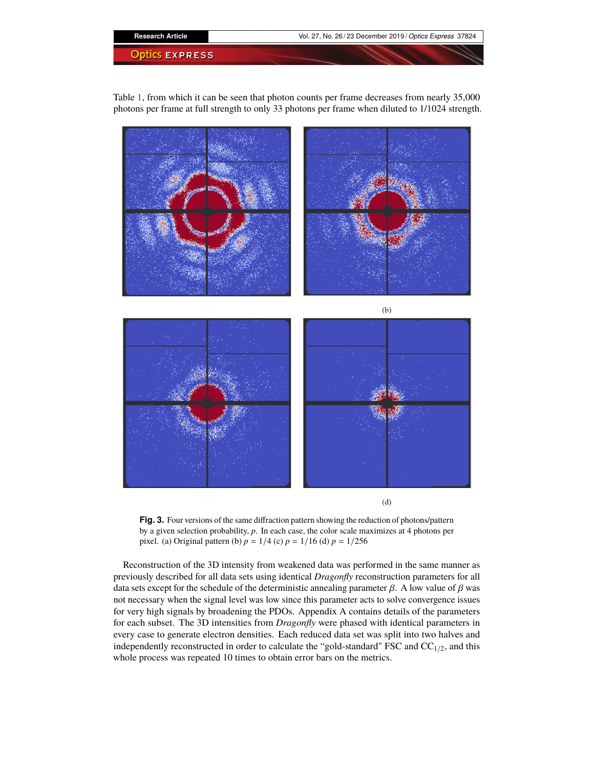Table [1,](#page-9-0) from which it can be seen that photon counts per frame decreases from nearly 35,000 photons per frame at full strength to only 33 photons per frame when diluted to 1/1024 strength.



<span id="page-8-0"></span>**Fig. 3.** Four versions of the same diffraction pattern showing the reduction of photons/pattern by a given selection probability, *p*. In each case, the color scale maximizes at 4 photons per pixel. (a) Original pattern (b) *p* = 1/4 (c) *p* = 1/16 (d) *p* = 1/256

Reconstruction of the 3D intensity from weakened data was performed in the same manner as previously described for all data sets using identical *Dragonfly* reconstruction parameters for all data sets except for the schedule of the deterministic annealing parameter  $\beta$ . A low value of  $\beta$  was not necessary when the signal level was low since this parameter acts to solve convergence issues for very high signals by broadening the PDOs. Appendix A contains details of the parameters for each subset. The 3D intensities from *Dragonfly* were phased with identical parameters in every case to generate electron densities. Each reduced data set was split into two halves and independently reconstructed in order to calculate the "gold-standard" FSC and  $CC_{1/2}$ , and this whole process was repeated 10 times to obtain error bars on the metrics.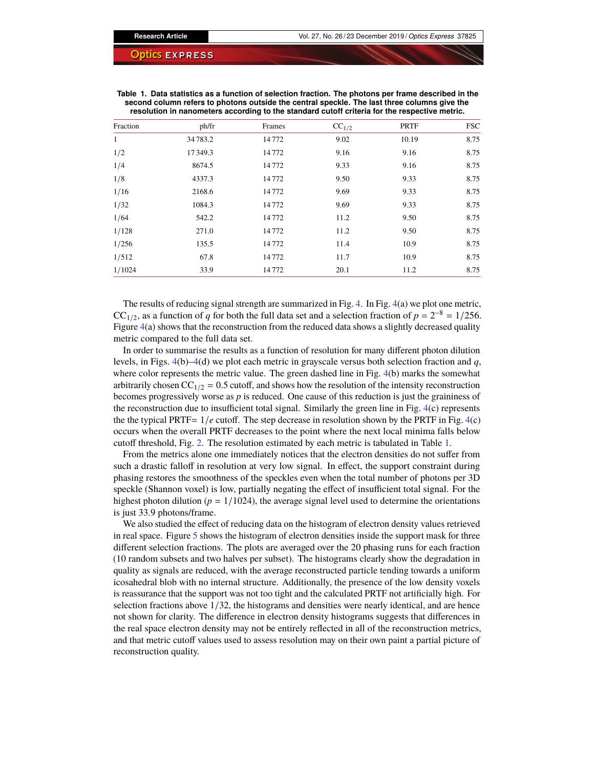| Fraction | ph/fr   | Frames | $CC_{1/2}$ | <b>PRTF</b> | <b>FSC</b> |
|----------|---------|--------|------------|-------------|------------|
| 1        | 34783.2 | 14772  | 9.02       | 10.19       | 8.75       |
| 1/2      | 17349.3 | 14772  | 9.16       | 9.16        | 8.75       |
| 1/4      | 8674.5  | 14772  | 9.33       | 9.16        | 8.75       |
| 1/8      | 4337.3  | 14772  | 9.50       | 9.33        | 8.75       |
| 1/16     | 2168.6  | 14772  | 9.69       | 9.33        | 8.75       |
| 1/32     | 1084.3  | 14772  | 9.69       | 9.33        | 8.75       |
| 1/64     | 542.2   | 14772  | 11.2       | 9.50        | 8.75       |
| 1/128    | 271.0   | 14772  | 11.2       | 9.50        | 8.75       |
| 1/256    | 135.5   | 14772  | 11.4       | 10.9        | 8.75       |
| 1/512    | 67.8    | 14772  | 11.7       | 10.9        | 8.75       |
| 1/1024   | 33.9    | 14772  | 20.1       | 11.2        | 8.75       |
|          |         |        |            |             |            |

<span id="page-9-0"></span>**Table 1. Data statistics as a function of selection fraction. The photons per frame described in the second column refers to photons outside the central speckle. The last three columns give the resolution in nanometers according to the standard cutoff criteria for the respective metric.**

The results of reducing signal strength are summarized in Fig. [4.](#page-10-0) In Fig. [4\(](#page-10-0)a) we plot one metric,  $CC_{1/2}$ , as a function of *q* for both the full data set and a selection fraction of  $p = 2^{-8} = 1/256$ . Figure [4\(](#page-10-0)a) shows that the reconstruction from the reduced data shows a slightly decreased quality metric compared to the full data set.

In order to summarise the results as a function of resolution for many different photon dilution levels, in Figs. [4\(](#page-10-0)b)[–4\(](#page-10-0)d) we plot each metric in grayscale versus both selection fraction and *q*, where color represents the metric value. The green dashed line in Fig. [4\(](#page-10-0)b) marks the somewhat arbitrarily chosen  $CC_{1/2} = 0.5$  cutoff, and shows how the resolution of the intensity reconstruction becomes progressively worse as *p* is reduced. One cause of this reduction is just the graininess of the reconstruction due to insufficient total signal. Similarly the green line in Fig.  $4(c)$  $4(c)$  represents the the typical PRTF=  $1/e$  cutoff. The step decrease in resolution shown by the PRTF in Fig. [4\(](#page-10-0)c) occurs when the overall PRTF decreases to the point where the next local minima falls below cutoff threshold, Fig. [2.](#page-6-0) The resolution estimated by each metric is tabulated in Table [1.](#page-9-0)

From the metrics alone one immediately notices that the electron densities do not suffer from such a drastic falloff in resolution at very low signal. In effect, the support constraint during phasing restores the smoothness of the speckles even when the total number of photons per 3D speckle (Shannon voxel) is low, partially negating the effect of insufficient total signal. For the highest photon dilution ( $p = 1/1024$ ), the average signal level used to determine the orientations is just 33.9 photons/frame.

We also studied the effect of reducing data on the histogram of electron density values retrieved in real space. Figure [5](#page-11-0) shows the histogram of electron densities inside the support mask for three different selection fractions. The plots are averaged over the 20 phasing runs for each fraction (10 random subsets and two halves per subset). The histograms clearly show the degradation in quality as signals are reduced, with the average reconstructed particle tending towards a uniform icosahedral blob with no internal structure. Additionally, the presence of the low density voxels is reassurance that the support was not too tight and the calculated PRTF not artificially high. For selection fractions above  $1/32$ , the histograms and densities were nearly identical, and are hence not shown for clarity. The difference in electron density histograms suggests that differences in the real space electron density may not be entirely reflected in all of the reconstruction metrics, and that metric cutoff values used to assess resolution may on their own paint a partial picture of reconstruction quality.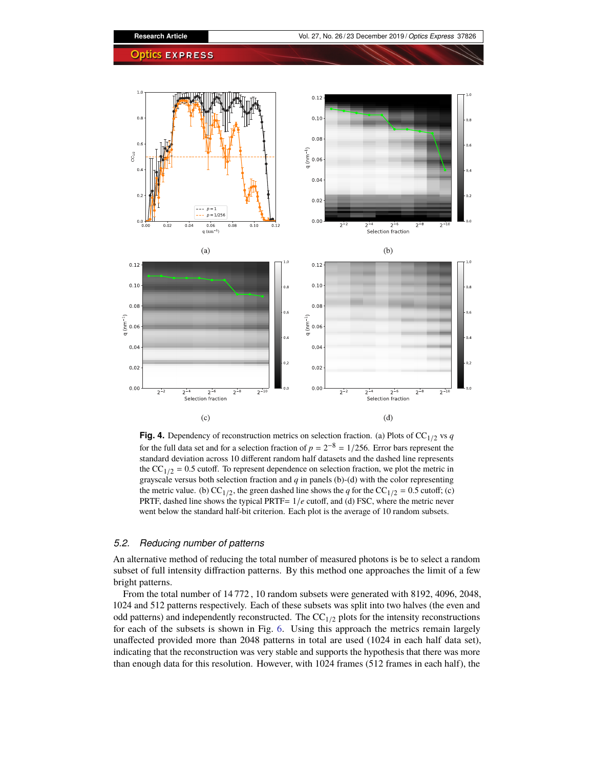

<span id="page-10-0"></span>**Fig. 4.** Dependency of reconstruction metrics on selection fraction. (a) Plots of  $CC_{1/2}$  vs  $q$ for the full data set and for a selection fraction of  $p = 2^{-8} = 1/256$ . Error bars represent the standard deviation across 10 different random half datasets and the dashed line represents the  $CC_{1/2} = 0.5$  cutoff. To represent dependence on selection fraction, we plot the metric in grayscale versus both selection fraction and *q* in panels (b)-(d) with the color representing the metric value. (b)  $CC_{1/2}$ , the green dashed line shows the *q* for the  $CC_{1/2} = 0.5$  cutoff; (c) PRTF, dashed line shows the typical PRTF= 1/*e* cutoff, and (d) FSC, where the metric never went below the standard half-bit criterion. Each plot is the average of 10 random subsets.

# *5.2. Reducing number of patterns*

An alternative method of reducing the total number of measured photons is be to select a random subset of full intensity diffraction patterns. By this method one approaches the limit of a few bright patterns.

From the total number of 14 772 , 10 random subsets were generated with 8192, 4096, 2048, 1024 and 512 patterns respectively. Each of these subsets was split into two halves (the even and odd patterns) and independently reconstructed. The  $CC_{1/2}$  plots for the intensity reconstructions for each of the subsets is shown in Fig. [6.](#page-12-0) Using this approach the metrics remain largely unaffected provided more than 2048 patterns in total are used (1024 in each half data set), indicating that the reconstruction was very stable and supports the hypothesis that there was more than enough data for this resolution. However, with 1024 frames (512 frames in each half), the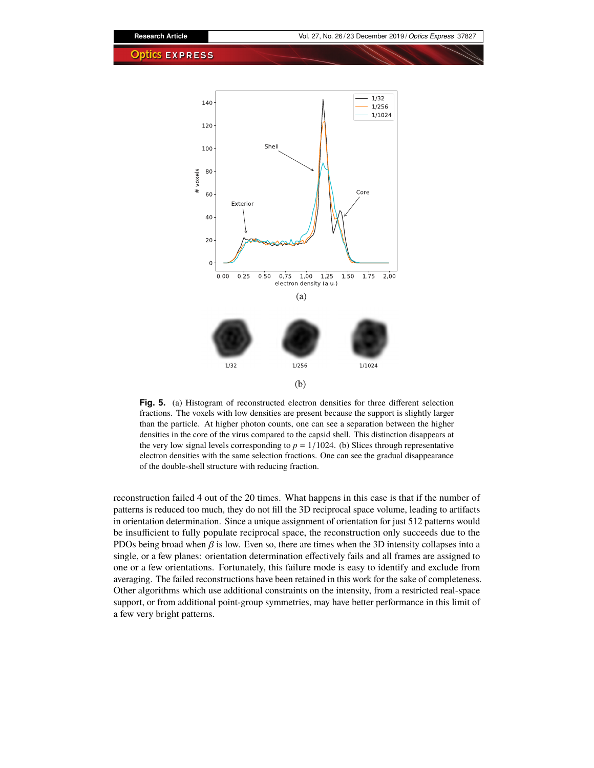

<span id="page-11-0"></span>**Fig. 5.** (a) Histogram of reconstructed electron densities for three different selection fractions. The voxels with low densities are present because the support is slightly larger than the particle. At higher photon counts, one can see a separation between the higher densities in the core of the virus compared to the capsid shell. This distinction disappears at the very low signal levels corresponding to  $p = 1/1024$ . (b) Slices through representative electron densities with the same selection fractions. One can see the gradual disappearance of the double-shell structure with reducing fraction.

reconstruction failed 4 out of the 20 times. What happens in this case is that if the number of patterns is reduced too much, they do not fill the 3D reciprocal space volume, leading to artifacts in orientation determination. Since a unique assignment of orientation for just 512 patterns would be insufficient to fully populate reciprocal space, the reconstruction only succeeds due to the PDOs being broad when  $\beta$  is low. Even so, there are times when the 3D intensity collapses into a single, or a few planes: orientation determination effectively fails and all frames are assigned to one or a few orientations. Fortunately, this failure mode is easy to identify and exclude from averaging. The failed reconstructions have been retained in this work for the sake of completeness. Other algorithms which use additional constraints on the intensity, from a restricted real-space support, or from additional point-group symmetries, may have better performance in this limit of a few very bright patterns.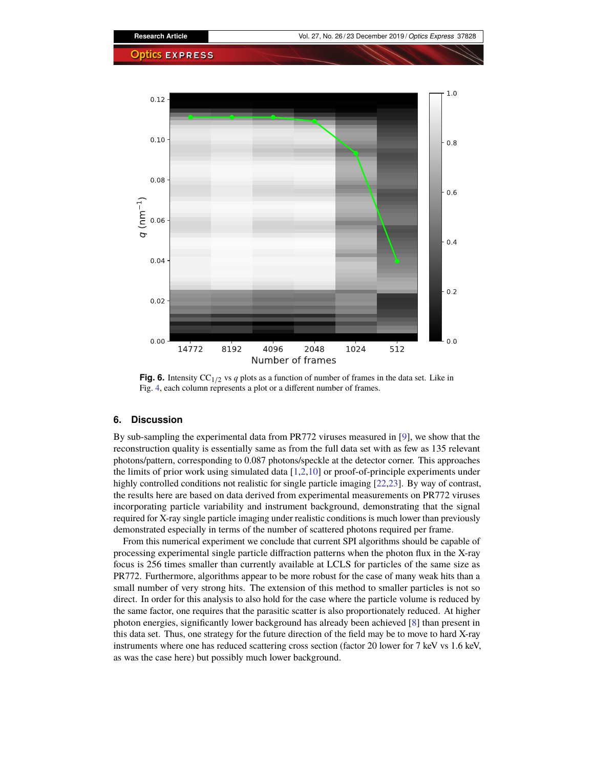

Number of frames

<span id="page-12-0"></span>**Fig. 6.** Intensity  $CC_{1/2}$  vs *q* plots as a function of number of frames in the data set. Like in Fig. [4,](#page-10-0) each column represents a plot or a different number of frames.

# **6. Discussion**

By sub-sampling the experimental data from PR772 viruses measured in [\[9\]](#page-16-6), we show that the reconstruction quality is essentially same as from the full data set with as few as 135 relevant photons/pattern, corresponding to 0.087 photons/speckle at the detector corner. This approaches the limits of prior work using simulated data  $[1,2,10]$  $[1,2,10]$  $[1,2,10]$  or proof-of-principle experiments under highly controlled conditions not realistic for single particle imaging [\[22,](#page-17-4)[23\]](#page-17-5). By way of contrast, the results here are based on data derived from experimental measurements on PR772 viruses incorporating particle variability and instrument background, demonstrating that the signal required for X-ray single particle imaging under realistic conditions is much lower than previously demonstrated especially in terms of the number of scattered photons required per frame.

From this numerical experiment we conclude that current SPI algorithms should be capable of processing experimental single particle diffraction patterns when the photon flux in the X-ray focus is 256 times smaller than currently available at LCLS for particles of the same size as PR772. Furthermore, algorithms appear to be more robust for the case of many weak hits than a small number of very strong hits. The extension of this method to smaller particles is not so direct. In order for this analysis to also hold for the case where the particle volume is reduced by the same factor, one requires that the parasitic scatter is also proportionately reduced. At higher photon energies, significantly lower background has already been achieved [\[8\]](#page-16-5) than present in this data set. Thus, one strategy for the future direction of the field may be to move to hard X-ray instruments where one has reduced scattering cross section (factor 20 lower for 7 keV vs 1.6 keV, as was the case here) but possibly much lower background.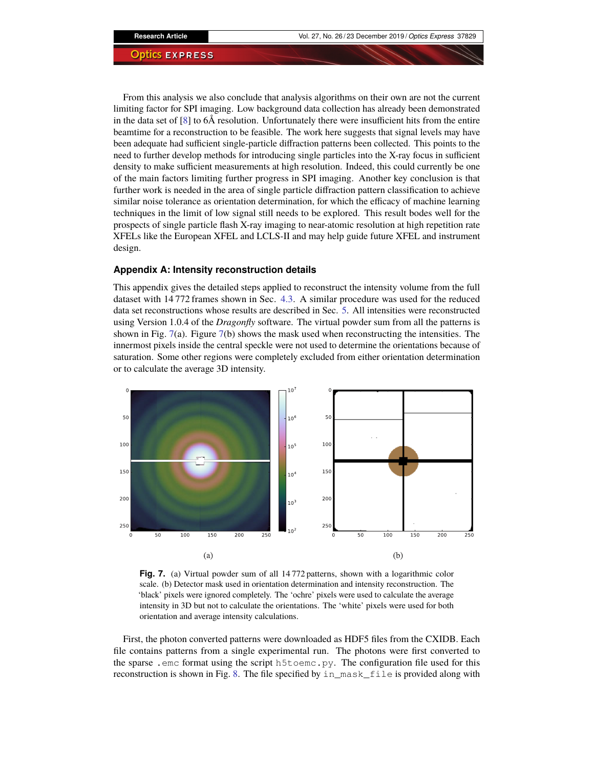From this analysis we also conclude that analysis algorithms on their own are not the current limiting factor for SPI imaging. Low background data collection has already been demonstrated in the data set of [\[8\]](#page-16-5) to 6Å resolution. Unfortunately there were insufficient hits from the entire beamtime for a reconstruction to be feasible. The work here suggests that signal levels may have been adequate had sufficient single-particle diffraction patterns been collected. This points to the need to further develop methods for introducing single particles into the X-ray focus in sufficient density to make sufficient measurements at high resolution. Indeed, this could currently be one of the main factors limiting further progress in SPI imaging. Another key conclusion is that further work is needed in the area of single particle diffraction pattern classification to achieve similar noise tolerance as orientation determination, for which the efficacy of machine learning techniques in the limit of low signal still needs to be explored. This result bodes well for the prospects of single particle flash X-ray imaging to near-atomic resolution at high repetition rate XFELs like the European XFEL and LCLS-II and may help guide future XFEL and instrument design.

#### **Appendix A: Intensity reconstruction details**

This appendix gives the detailed steps applied to reconstruct the intensity volume from the full dataset with 14 772 frames shown in Sec. [4.3.](#page-7-1) A similar procedure was used for the reduced data set reconstructions whose results are described in Sec. [5.](#page-7-0) All intensities were reconstructed using Version 1.0.4 of the *Dragonfly* software. The virtual powder sum from all the patterns is shown in Fig. [7\(](#page-13-0)a). Figure [7\(](#page-13-0)b) shows the mask used when reconstructing the intensities. The innermost pixels inside the central speckle were not used to determine the orientations because of saturation. Some other regions were completely excluded from either orientation determination or to calculate the average 3D intensity.



<span id="page-13-0"></span>**Fig. 7.** (a) Virtual powder sum of all 14772 patterns, shown with a logarithmic color scale. (b) Detector mask used in orientation determination and intensity reconstruction. The 'black' pixels were ignored completely. The 'ochre' pixels were used to calculate the average intensity in 3D but not to calculate the orientations. The 'white' pixels were used for both orientation and average intensity calculations.

First, the photon converted patterns were downloaded as HDF5 files from the CXIDB. Each file contains patterns from a single experimental run. The photons were first converted to the sparse .emc format using the script h5toemc.py. The configuration file used for this reconstruction is shown in Fig. [8.](#page-14-0) The file specified by in\_mask\_file is provided along with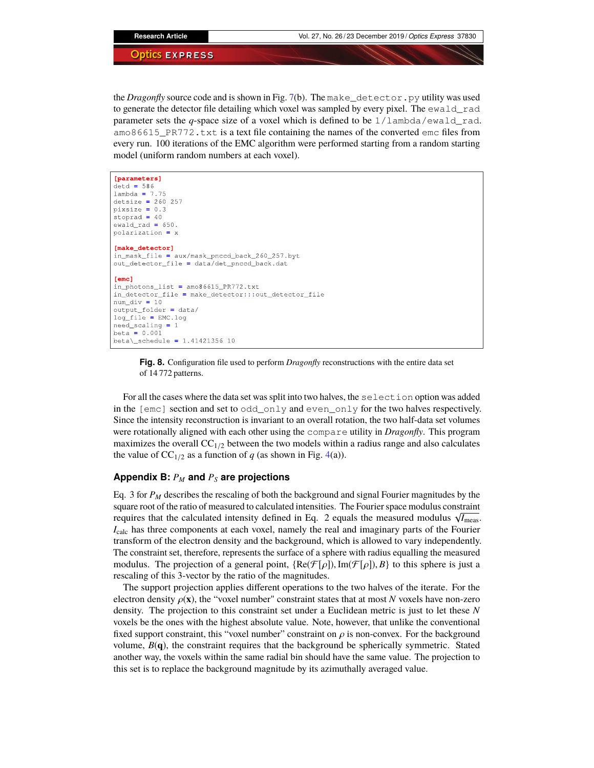**Research Article** Vol. 27, No. 26 / 23 December 2019 / *Optics Express* 37830

# **Optics EXPRESS**

the *Dragonfly* source code and is shown in Fig. [7\(](#page-13-0)b). The make\_detector.py utility was used to generate the detector file detailing which voxel was sampled by every pixel. The ewald\_rad parameter sets the *q*-space size of a voxel which is defined to be 1/lambda/ewald\_rad. amo86615\_PR772.txt is a text file containing the names of the converted emc files from every run. 100 iterations of the EMC algorithm were performed starting from a random starting model (uniform random numbers at each voxel).

```
[parameters]
detd = 586lambda = 7.75detsize = 260 257pixsize = 0.3stoprad = 40ewald_rad = 650.
polarization = x[make detector]
in_mask_file = aux/mask_pnccd_back_260_257.byt
out_detector_file = data/det_pnccd_back.dat
in\_photons\_list = amo86615\_PR772.txtin_detector_file = make_detector:::out_detector_file
num div = 10output_folder = data/
log_file = EMC.logneed\_scaling = 1beta = 0.001beta\_schedule = 1.41421356 10
```
<span id="page-14-0"></span>

For all the cases where the data set was split into two halves, the selection option was added in the [emc] section and set to odd\_only and even\_only for the two halves respectively. Since the intensity reconstruction is invariant to an overall rotation, the two half-data set volumes were rotationally aligned with each other using the compare utility in *Dragonfly*. This program maximizes the overall  $CC_{1/2}$  between the two models within a radius range and also calculates the value of  $CC_{1/2}$  as a function of *q* (as shown in Fig. [4\(](#page-10-0)a)).

# **Appendix B:** *P<sup>M</sup>* **and** *P<sup>S</sup>* **are projections**

Eq. 3 for  $P_M$  describes the rescaling of both the background and signal Fourier magnitudes by the square root of the ratio of measured to calculated intensities. The Fourier space modulus constraint square root of the ratio of measured to calculated intensities. The rourier space modulus constraint requires that the calculated intensity defined in Eq. 2 equals the measured modulus  $\sqrt{I_{\text{meas}}}.$ *I*<sub>calc</sub> has three components at each voxel, namely the real and imaginary parts of the Fourier transform of the electron density and the background, which is allowed to vary independently. The constraint set, therefore, represents the surface of a sphere with radius equalling the measured modulus. The projection of a general point,  $\{Re(\mathcal{F}[\rho]), Im(\mathcal{F}[\rho]), B\}$  to this sphere is just a rescaling of this 3-vector by the ratio of the magnitudes.

The support projection applies different operations to the two halves of the iterate. For the electron density  $\rho(\mathbf{x})$ , the "voxel number" constraint states that at most *N* voxels have non-zero density. The projection to this constraint set under a Euclidean metric is just to let these *N* voxels be the ones with the highest absolute value. Note, however, that unlike the conventional fixed support constraint, this "voxel number" constraint on  $\rho$  is non-convex. For the background volume,  $B(q)$ , the constraint requires that the background be spherically symmetric. Stated another way, the voxels within the same radial bin should have the same value. The projection to this set is to replace the background magnitude by its azimuthally averaged value.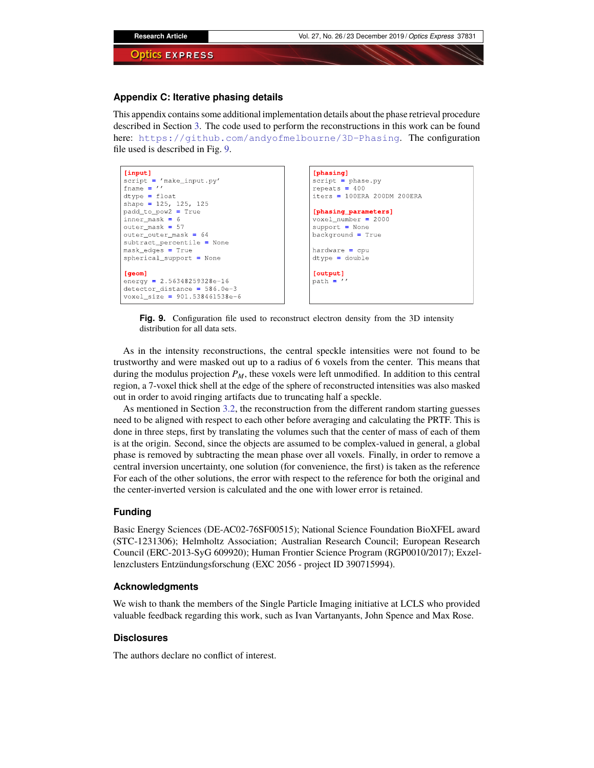

described in Section [3.](#page-2-0) The code used to perform the reconstructions in this work can be found here: <https://github.com/andyofmelbourne/3D-Phasing>. The configuration file used is described in Fig. [9.](#page-15-0)



<span id="page-15-0"></span>**Fig. 9.** Configuration file used to reconstruct electron density from the 3D intensity distribution for all data sets.

As in the intensity reconstructions, the central speckle intensities were not found to be trustworthy and were masked out up to a radius of 6 voxels from the center. This means that during the modulus projection  $P_M$ , these voxels were left unmodified. In addition to this central region, a 7-voxel thick shell at the edge of the sphere of reconstructed intensities was also masked out in order to avoid ringing artifacts due to truncating half a speckle.

As mentioned in Section [3.2,](#page-3-1) the reconstruction from the different random starting guesses need to be aligned with respect to each other before averaging and calculating the PRTF. This is done in three steps, first by translating the volumes such that the center of mass of each of them is at the origin. Second, since the objects are assumed to be complex-valued in general, a global phase is removed by subtracting the mean phase over all voxels. Finally, in order to remove a central inversion uncertainty, one solution (for convenience, the first) is taken as the reference For each of the other solutions, the error with respect to the reference for both the original and the center-inverted version is calculated and the one with lower error is retained.

# **Funding**

Basic Energy Sciences (DE-AC02-76SF00515); National Science Foundation BioXFEL award (STC-1231306); Helmholtz Association; Australian Research Council; European Research Council (ERC-2013-SyG 609920); Human Frontier Science Program (RGP0010/2017); Exzellenzclusters Entzündungsforschung (EXC 2056 - project ID 390715994).

# **Acknowledgments**

We wish to thank the members of the Single Particle Imaging initiative at LCLS who provided valuable feedback regarding this work, such as Ivan Vartanyants, John Spence and Max Rose.

### **Disclosures**

The authors declare no conflict of interest.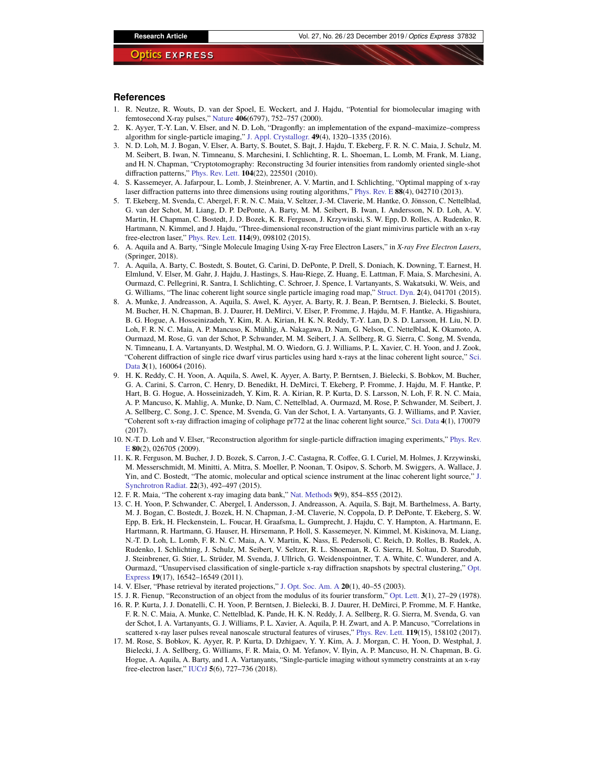#### **References**

- <span id="page-16-0"></span>1. R. Neutze, R. Wouts, D. van der Spoel, E. Weckert, and J. Hajdu, "Potential for biomolecular imaging with femtosecond X-ray pulses," [Nature](https://doi.org/10.1038/35021099) **406**(6797), 752–757 (2000).
- <span id="page-16-1"></span>2. K. Ayyer, T.-Y. Lan, V. Elser, and N. D. Loh, "Dragonfly: an implementation of the expand–maximize–compress algorithm for single-particle imaging," [J. Appl. Crystallogr.](https://doi.org/10.1107/S1600576716008165) **49**(4), 1320–1335 (2016).
- <span id="page-16-2"></span>3. N. D. Loh, M. J. Bogan, V. Elser, A. Barty, S. Boutet, S. Bajt, J. Hajdu, T. Ekeberg, F. R. N. C. Maia, J. Schulz, M. M. Seibert, B. Iwan, N. Timneanu, S. Marchesini, I. Schlichting, R. L. Shoeman, L. Lomb, M. Frank, M. Liang, and H. N. Chapman, "Cryptotomography: Reconstructing 3d fourier intensities from randomly oriented single-shot diffraction patterns," [Phys. Rev. Lett.](https://doi.org/10.1103/PhysRevLett.104.225501) **104**(22), 225501 (2010).
- 4. S. Kassemeyer, A. Jafarpour, L. Lomb, J. Steinbrener, A. V. Martin, and I. Schlichting, "Optimal mapping of x-ray laser diffraction patterns into three dimensions using routing algorithms," [Phys. Rev. E](https://doi.org/10.1103/PhysRevE.88.042710) **88**(4), 042710 (2013).
- 5. T. Ekeberg, M. Svenda, C. Abergel, F. R. N. C. Maia, V. Seltzer, J.-M. Claverie, M. Hantke, O. Jönsson, C. Nettelblad, G. van der Schot, M. Liang, D. P. DePonte, A. Barty, M. M. Seibert, B. Iwan, I. Andersson, N. D. Loh, A. V. Martin, H. Chapman, C. Bostedt, J. D. Bozek, K. R. Ferguson, J. Krzywinski, S. W. Epp, D. Rolles, A. Rudenko, R. Hartmann, N. Kimmel, and J. Hajdu, "Three-dimensional reconstruction of the giant mimivirus particle with an x-ray free-electron laser," [Phys. Rev. Lett.](https://doi.org/10.1103/PhysRevLett.114.098102) **114**(9), 098102 (2015).
- <span id="page-16-3"></span>6. A. Aquila and A. Barty, "Single Molecule Imaging Using X-ray Free Electron Lasers," in *X-ray Free Electron Lasers*, (Springer, 2018).
- <span id="page-16-4"></span>7. A. Aquila, A. Barty, C. Bostedt, S. Boutet, G. Carini, D. DePonte, P. Drell, S. Doniach, K. Downing, T. Earnest, H. Elmlund, V. Elser, M. Gahr, J. Hajdu, J. Hastings, S. Hau-Riege, Z. Huang, E. Lattman, F. Maia, S. Marchesini, A. Ourmazd, C. Pellegrini, R. Santra, I. Schlichting, C. Schroer, J. Spence, I. Vartanyants, S. Wakatsuki, W. Weis, and G. Williams, "The linac coherent light source single particle imaging road map," [Struct. Dyn.](https://doi.org/10.1063/1.4918726) **2**(4), 041701 (2015).
- <span id="page-16-5"></span>8. A. Munke, J. Andreasson, A. Aquila, S. Awel, K. Ayyer, A. Barty, R. J. Bean, P. Berntsen, J. Bielecki, S. Boutet, M. Bucher, H. N. Chapman, B. J. Daurer, H. DeMirci, V. Elser, P. Fromme, J. Hajdu, M. F. Hantke, A. Higashiura, B. G. Hogue, A. Hosseinizadeh, Y. Kim, R. A. Kirian, H. K. N. Reddy, T.-Y. Lan, D. S. D. Larsson, H. Liu, N. D. Loh, F. R. N. C. Maia, A. P. Mancuso, K. Mühlig, A. Nakagawa, D. Nam, G. Nelson, C. Nettelblad, K. Okamoto, A. Ourmazd, M. Rose, G. van der Schot, P. Schwander, M. M. Seibert, J. A. Sellberg, R. G. Sierra, C. Song, M. Svenda, N. Timneanu, I. A. Vartanyants, D. Westphal, M. O. Wiedorn, G. J. Williams, P. L. Xavier, C. H. Yoon, and J. Zook, "Coherent diffraction of single rice dwarf virus particles using hard x-rays at the linac coherent light source," [Sci.](https://doi.org/10.1038/sdata.2016.64) [Data](https://doi.org/10.1038/sdata.2016.64) **3**(1), 160064 (2016).
- <span id="page-16-6"></span>9. H. K. Reddy, C. H. Yoon, A. Aquila, S. Awel, K. Ayyer, A. Barty, P. Berntsen, J. Bielecki, S. Bobkov, M. Bucher, G. A. Carini, S. Carron, C. Henry, D. Benedikt, H. DeMirci, T. Ekeberg, P. Fromme, J. Hajdu, M. F. Hantke, P. Hart, B. G. Hogue, A. Hosseinizadeh, Y. Kim, R. A. Kirian, R. P. Kurta, D. S. Larsson, N. Loh, F. R. N. C. Maia, A. P. Mancuso, K. Mahlig, A. Munke, D. Nam, C. Nettelblad, A. Ourmazd, M. Rose, P. Schwander, M. Seibert, J. A. Sellberg, C. Song, J. C. Spence, M. Svenda, G. Van der Schot, I. A. Vartanyants, G. J. Williams, and P. Xavier, "Coherent soft x-ray diffraction imaging of coliphage pr772 at the linac coherent light source," [Sci. Data](https://doi.org/10.1038/sdata.2017.79) **4**(1), 170079 (2017).
- <span id="page-16-7"></span>10. N.-T. D. Loh and V. Elser, "Reconstruction algorithm for single-particle diffraction imaging experiments," [Phys. Rev.](https://doi.org/10.1103/PhysRevE.80.026705) [E](https://doi.org/10.1103/PhysRevE.80.026705) **80**(2), 026705 (2009).
- <span id="page-16-8"></span>11. K. R. Ferguson, M. Bucher, J. D. Bozek, S. Carron, J.-C. Castagna, R. Coffee, G. I. Curiel, M. Holmes, J. Krzywinski, M. Messerschmidt, M. Minitti, A. Mitra, S. Moeller, P. Noonan, T. Osipov, S. Schorb, M. Swiggers, A. Wallace, J. Yin, and C. Bostedt, "The atomic, molecular and optical science instrument at the linac coherent light source," [J.](https://doi.org/10.1107/S1600577515004646) [Synchrotron Radiat.](https://doi.org/10.1107/S1600577515004646) **22**(3), 492–497 (2015).
- <span id="page-16-9"></span>12. F. R. Maia, "The coherent x-ray imaging data bank," [Nat. Methods](https://doi.org/10.1038/nmeth.2110) **9**(9), 854–855 (2012).
- <span id="page-16-10"></span>13. C. H. Yoon, P. Schwander, C. Abergel, I. Andersson, J. Andreasson, A. Aquila, S. Bajt, M. Barthelmess, A. Barty, M. J. Bogan, C. Bostedt, J. Bozek, H. N. Chapman, J.-M. Claverie, N. Coppola, D. P. DePonte, T. Ekeberg, S. W. Epp, B. Erk, H. Fleckenstein, L. Foucar, H. Graafsma, L. Gumprecht, J. Hajdu, C. Y. Hampton, A. Hartmann, E. Hartmann, R. Hartmann, G. Hauser, H. Hirsemann, P. Holl, S. Kassemeyer, N. Kimmel, M. Kiskinova, M. Liang, N.-T. D. Loh, L. Lomb, F. R. N. C. Maia, A. V. Martin, K. Nass, E. Pedersoli, C. Reich, D. Rolles, B. Rudek, A. Rudenko, I. Schlichting, J. Schulz, M. Seibert, V. Seltzer, R. L. Shoeman, R. G. Sierra, H. Soltau, D. Starodub, J. Steinbrener, G. Stier, L. Strüder, M. Svenda, J. Ullrich, G. Weidenspointner, T. A. White, C. Wunderer, and A. Ourmazd, "Unsupervised classification of single-particle x-ray diffraction snapshots by spectral clustering," [Opt.](https://doi.org/10.1364/OE.19.016542) [Express](https://doi.org/10.1364/OE.19.016542) **19**(17), 16542–16549 (2011).
- <span id="page-16-11"></span>14. V. Elser, "Phase retrieval by iterated projections," [J. Opt. Soc. Am. A](https://doi.org/10.1364/JOSAA.20.000040) **20**(1), 40–55 (2003).
- <span id="page-16-12"></span>15. J. R. Fienup, "Reconstruction of an object from the modulus of its fourier transform," [Opt. Lett.](https://doi.org/10.1364/OL.3.000027) **3**(1), 27–29 (1978).
- <span id="page-16-13"></span>16. R. P. Kurta, J. J. Donatelli, C. H. Yoon, P. Berntsen, J. Bielecki, B. J. Daurer, H. DeMirci, P. Fromme, M. F. Hantke, F. R. N. C. Maia, A. Munke, C. Nettelblad, K. Pande, H. K. N. Reddy, J. A. Sellberg, R. G. Sierra, M. Svenda, G. van der Schot, I. A. Vartanyants, G. J. Williams, P. L. Xavier, A. Aquila, P. H. Zwart, and A. P. Mancuso, "Correlations in scattered x-ray laser pulses reveal nanoscale structural features of viruses," [Phys. Rev. Lett.](https://doi.org/10.1103/PhysRevLett.119.158102) **119**(15), 158102 (2017).
- <span id="page-16-14"></span>17. M. Rose, S. Bobkov, K. Ayyer, R. P. Kurta, D. Dzhigaev, Y. Y. Kim, A. J. Morgan, C. H. Yoon, D. Westphal, J. Bielecki, J. A. Sellberg, G. Williams, F. R. Maia, O. M. Yefanov, V. Ilyin, A. P. Mancuso, H. N. Chapman, B. G. Hogue, A. Aquila, A. Barty, and I. A. Vartanyants, "Single-particle imaging without symmetry constraints at an x-ray free-electron laser," [IUCrJ](https://doi.org/10.1107/S205225251801120X) **5**(6), 727–736 (2018).